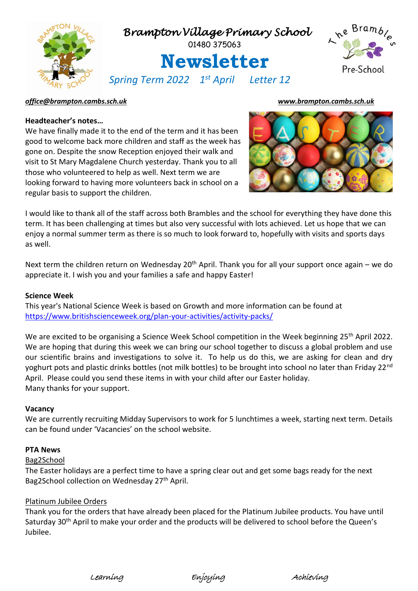

### *[office@brampton.cambs.sch.uk](mailto:office@brampton.cambs.sch.uk) [www.brampton.cambs.sch.uk](http://www.brampton.cambs.sch.uk/)*

## **Headteacher's notes…**

We have finally made it to the end of the term and it has been good to welcome back more children and staff as the week has gone on. Despite the snow Reception enjoyed their walk and visit to St Mary Magdalene Church yesterday. Thank you to all those who volunteered to help as well. Next term we are looking forward to having more volunteers back in school on a regular basis to support the children.



I would like to thank all of the staff across both Brambles and the school for everything they have done this term. It has been challenging at times but also very successful with lots achieved. Let us hope that we can enjoy a normal summer term as there is so much to look forward to, hopefully with visits and sports days as well.

Next term the children return on Wednesday 20<sup>th</sup> April. Thank you for all your support once again – we do appreciate it. I wish you and your families a safe and happy Easter!

### **Science Week**

This year's National Science Week is based on Growth and more information can be found at <https://www.britishscienceweek.org/plan-your-activities/activity-packs/>

We are excited to be organising a Science Week School competition in the Week beginning 25<sup>th</sup> April 2022. We are hoping that during this week we can bring our school together to discuss a global problem and use our scientific brains and investigations to solve it. To help us do this, we are asking for clean and dry yoghurt pots and plastic drinks bottles (not milk bottles) to be brought into school no later than Friday 22<sup>nd</sup> April. Please could you send these items in with your child after our Easter holiday. Many thanks for your support.

### **Vacancy**

We are currently recruiting Midday Supervisors to work for 5 lunchtimes a week, starting next term. Details can be found under 'Vacancies' on the school website.

### **PTA News**

## Bag2School

The Easter holidays are a perfect time to have a spring clear out and get some bags ready for the next Bag2School collection on Wednesday 27<sup>th</sup> April.

# Platinum Jubilee Orders

Thank you for the orders that have already been placed for the Platinum Jubilee products. You have until Saturday 30<sup>th</sup> April to make your order and the products will be delivered to school before the Queen's Jubilee.

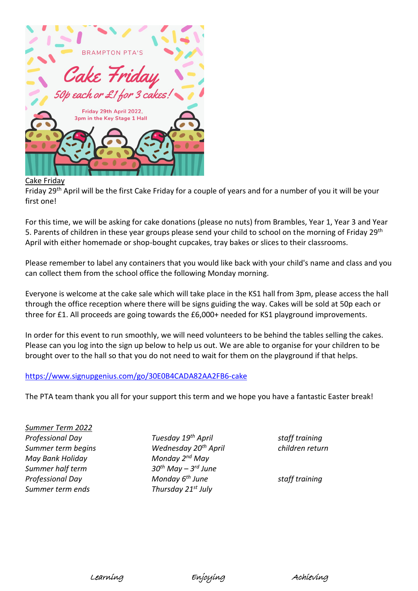

## Cake Friday

Friday 29th April will be the first Cake Friday for a couple of years and for a number of you it will be your first one!

For this time, we will be asking for cake donations (please no nuts) from Brambles, Year 1, Year 3 and Year 5. Parents of children in these year groups please send your child to school on the morning of Friday 29<sup>th</sup> April with either homemade or shop-bought cupcakes, tray bakes or slices to their classrooms.

Please remember to label any containers that you would like back with your child's name and class and you can collect them from the school office the following Monday morning.

Everyone is welcome at the cake sale which will take place in the KS1 hall from 3pm, please access the hall through the office reception where there will be signs guiding the way. Cakes will be sold at 50p each or three for £1. All proceeds are going towards the £6,000+ needed for KS1 playground improvements.

In order for this event to run smoothly, we will need volunteers to be behind the tables selling the cakes. Please can you log into the sign up below to help us out. We are able to organise for your children to be brought over to the hall so that you do not need to wait for them on the playground if that helps.

# <https://www.signupgenius.com/go/30E0B4CADA82AA2FB6-cake>

The PTA team thank you all for your support this term and we hope you have a fantastic Easter break!

*Summer Term 2022 May Bank Holiday Monday 2nd May Summer half term 30th May – 3 Summer term ends Thursday 21st July*

*Professional Day Tuesday 19th April staff training Summer term begins Wednesday 20th April children return* 30<sup>th</sup> May – 3<sup>rd</sup> June *Professional Day Monday 6th June staff training*